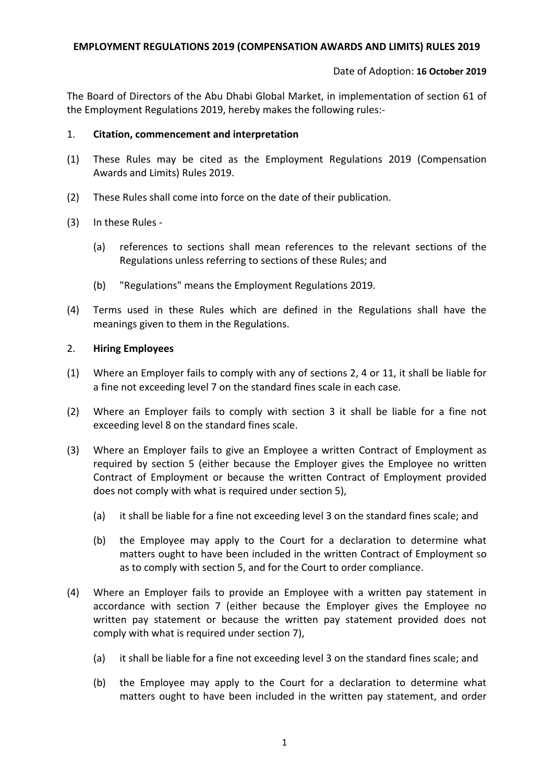#### Date of Adoption: **16 October 2019**

The Board of Directors of the Abu Dhabi Global Market, in implementation of section 61 of the Employment Regulations 2019, hereby makes the following rules:-

#### 1. **Citation, commencement and interpretation**

- (1) These Rules may be cited as the Employment Regulations 2019 (Compensation Awards and Limits) Rules 2019.
- (2) These Rules shall come into force on the date of their publication.
- (3) In these Rules
	- (a) references to sections shall mean references to the relevant sections of the Regulations unless referring to sections of these Rules; and
	- (b) "Regulations" means the Employment Regulations 2019.
- (4) Terms used in these Rules which are defined in the Regulations shall have the meanings given to them in the Regulations.

## 2. **Hiring Employees**

- (1) Where an Employer fails to comply with any of sections 2, 4 or 11, it shall be liable for a fine not exceeding level 7 on the standard fines scale in each case.
- (2) Where an Employer fails to comply with section 3 it shall be liable for a fine not exceeding level 8 on the standard fines scale.
- (3) Where an Employer fails to give an Employee a written Contract of Employment as required by section 5 (either because the Employer gives the Employee no written Contract of Employment or because the written Contract of Employment provided does not comply with what is required under section 5),
	- (a) it shall be liable for a fine not exceeding level 3 on the standard fines scale; and
	- (b) the Employee may apply to the Court for a declaration to determine what matters ought to have been included in the written Contract of Employment so as to comply with section 5, and for the Court to order compliance.
- (4) Where an Employer fails to provide an Employee with a written pay statement in accordance with section 7 (either because the Employer gives the Employee no written pay statement or because the written pay statement provided does not comply with what is required under section 7),
	- (a) it shall be liable for a fine not exceeding level 3 on the standard fines scale; and
	- (b) the Employee may apply to the Court for a declaration to determine what matters ought to have been included in the written pay statement, and order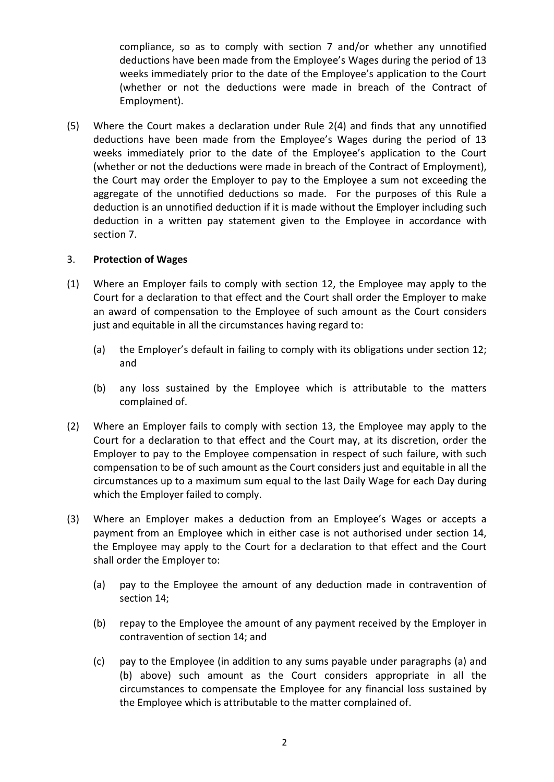compliance, so as to comply with section 7 and/or whether any unnotified deductions have been made from the Employee's Wages during the period of 13 weeks immediately prior to the date of the Employee's application to the Court (whether or not the deductions were made in breach of the Contract of Employment).

(5) Where the Court makes a declaration under Rule 2(4) and finds that any unnotified deductions have been made from the Employee's Wages during the period of 13 weeks immediately prior to the date of the Employee's application to the Court (whether or not the deductions were made in breach of the Contract of Employment), the Court may order the Employer to pay to the Employee a sum not exceeding the aggregate of the unnotified deductions so made. For the purposes of this Rule a deduction is an unnotified deduction if it is made without the Employer including such deduction in a written pay statement given to the Employee in accordance with section 7.

## 3. **Protection of Wages**

- (1) Where an Employer fails to comply with section 12, the Employee may apply to the Court for a declaration to that effect and the Court shall order the Employer to make an award of compensation to the Employee of such amount as the Court considers just and equitable in all the circumstances having regard to:
	- (a) the Employer's default in failing to comply with its obligations under section 12; and
	- (b) any loss sustained by the Employee which is attributable to the matters complained of.
- (2) Where an Employer fails to comply with section 13, the Employee may apply to the Court for a declaration to that effect and the Court may, at its discretion, order the Employer to pay to the Employee compensation in respect of such failure, with such compensation to be of such amount as the Court considers just and equitable in all the circumstances up to a maximum sum equal to the last Daily Wage for each Day during which the Employer failed to comply.
- <span id="page-1-0"></span>(3) Where an Employer makes a deduction from an Employee's Wages or accepts a payment from an Employee which in either case is not authorised under section 14, the Employee may apply to the Court for a declaration to that effect and the Court shall order the Employer to:
	- (a) pay to the Employee the amount of any deduction made in contravention of section 14;
	- (b) repay to the Employee the amount of any payment received by the Employer in contravention of section 14; and
	- (c) pay to the Employee (in addition to any sums payable under paragraphs [\(a\)](#page-1-0) and (b) above) such amount as the Court considers appropriate in all the circumstances to compensate the Employee for any financial loss sustained by the Employee which is attributable to the matter complained of.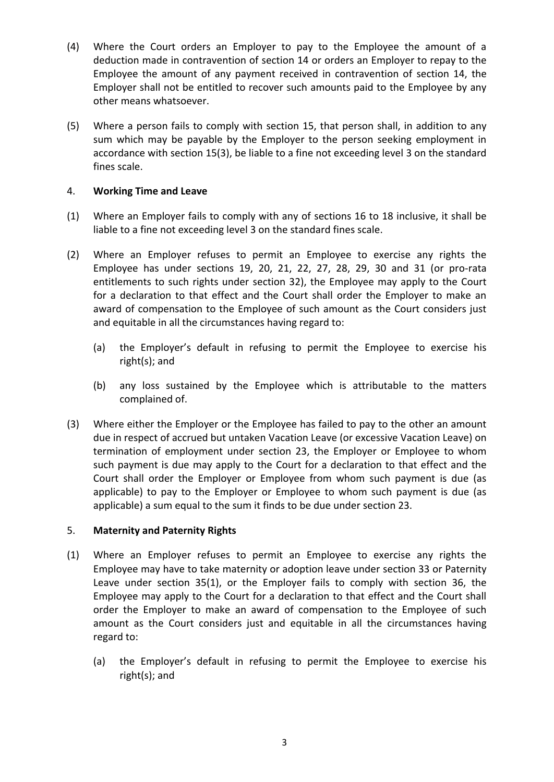- (4) Where the Court orders an Employer to pay to the Employee the amount of a deduction made in contravention of section 14 or orders an Employer to repay to the Employee the amount of any payment received in contravention of section 14, the Employer shall not be entitled to recover such amounts paid to the Employee by any other means whatsoever.
- (5) Where a person fails to comply with section 15, that person shall, in addition to any sum which may be payable by the Employer to the person seeking employment in accordance with section 15(3), be liable to a fine not exceeding level 3 on the standard fines scale.

# 4. **Working Time and Leave**

- (1) Where an Employer fails to comply with any of sections 16 to 18 inclusive, it shall be liable to a fine not exceeding level 3 on the standard fines scale.
- (2) Where an Employer refuses to permit an Employee to exercise any rights the Employee has under sections 19, 20, 21, 22, 27, 28, 29, 30 and 31 (or pro-rata entitlements to such rights under section 32), the Employee may apply to the Court for a declaration to that effect and the Court shall order the Employer to make an award of compensation to the Employee of such amount as the Court considers just and equitable in all the circumstances having regard to:
	- (a) the Employer's default in refusing to permit the Employee to exercise his right(s); and
	- (b) any loss sustained by the Employee which is attributable to the matters complained of.
- (3) Where either the Employer or the Employee has failed to pay to the other an amount due in respect of accrued but untaken Vacation Leave (or excessive Vacation Leave) on termination of employment under section 23, the Employer or Employee to whom such payment is due may apply to the Court for a declaration to that effect and the Court shall order the Employer or Employee from whom such payment is due (as applicable) to pay to the Employer or Employee to whom such payment is due (as applicable) a sum equal to the sum it finds to be due under section 23.

#### 5. **Maternity and Paternity Rights**

- (1) Where an Employer refuses to permit an Employee to exercise any rights the Employee may have to take maternity or adoption leave under section 33 or Paternity Leave under section 35(1), or the Employer fails to comply with section 36, the Employee may apply to the Court for a declaration to that effect and the Court shall order the Employer to make an award of compensation to the Employee of such amount as the Court considers just and equitable in all the circumstances having regard to:
	- (a) the Employer's default in refusing to permit the Employee to exercise his right(s); and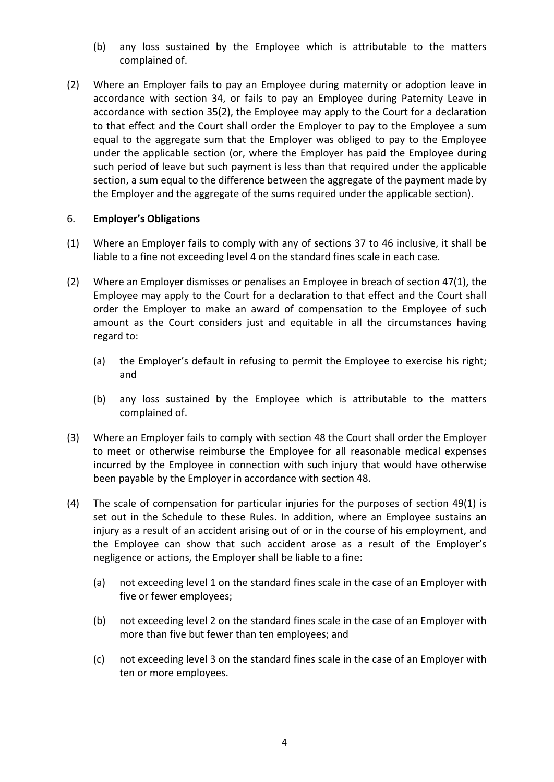- (b) any loss sustained by the Employee which is attributable to the matters complained of.
- (2) Where an Employer fails to pay an Employee during maternity or adoption leave in accordance with section 34, or fails to pay an Employee during Paternity Leave in accordance with section 35(2), the Employee may apply to the Court for a declaration to that effect and the Court shall order the Employer to pay to the Employee a sum equal to the aggregate sum that the Employer was obliged to pay to the Employee under the applicable section (or, where the Employer has paid the Employee during such period of leave but such payment is less than that required under the applicable section, a sum equal to the difference between the aggregate of the payment made by the Employer and the aggregate of the sums required under the applicable section).

## 6. **Employer's Obligations**

- (1) Where an Employer fails to comply with any of sections 37 to 46 inclusive, it shall be liable to a fine not exceeding level 4 on the standard fines scale in each case.
- (2) Where an Employer dismisses or penalises an Employee in breach of section 47(1), the Employee may apply to the Court for a declaration to that effect and the Court shall order the Employer to make an award of compensation to the Employee of such amount as the Court considers just and equitable in all the circumstances having regard to:
	- (a) the Employer's default in refusing to permit the Employee to exercise his right; and
	- (b) any loss sustained by the Employee which is attributable to the matters complained of.
- (3) Where an Employer fails to comply with section 48 the Court shall order the Employer to meet or otherwise reimburse the Employee for all reasonable medical expenses incurred by the Employee in connection with such injury that would have otherwise been payable by the Employer in accordance with section 48.
- (4) The scale of compensation for particular injuries for the purposes of section 49(1) is set out in the Schedule to these Rules. In addition, where an Employee sustains an injury as a result of an accident arising out of or in the course of his employment, and the Employee can show that such accident arose as a result of the Employer's negligence or actions, the Employer shall be liable to a fine:
	- (a) not exceeding level 1 on the standard fines scale in the case of an Employer with five or fewer employees;
	- (b) not exceeding level 2 on the standard fines scale in the case of an Employer with more than five but fewer than ten employees; and
	- (c) not exceeding level 3 on the standard fines scale in the case of an Employer with ten or more employees.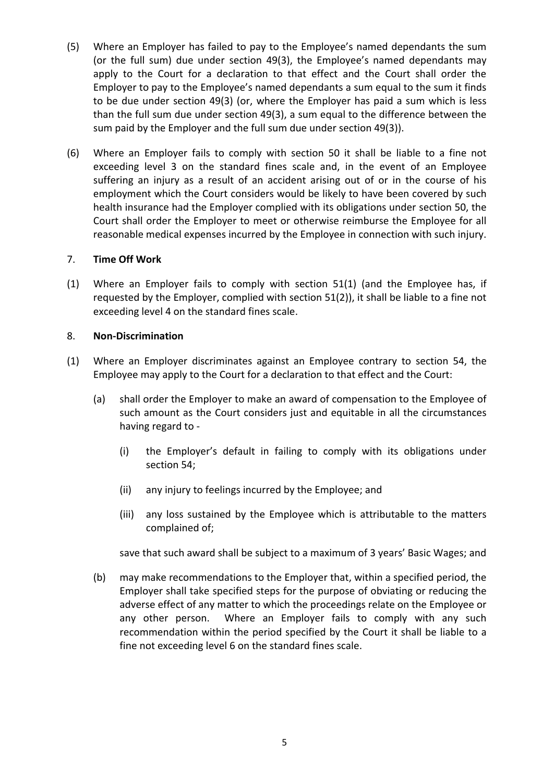- (5) Where an Employer has failed to pay to the Employee's named dependants the sum (or the full sum) due under section 49(3), the Employee's named dependants may apply to the Court for a declaration to that effect and the Court shall order the Employer to pay to the Employee's named dependants a sum equal to the sum it finds to be due under section 49(3) (or, where the Employer has paid a sum which is less than the full sum due under section 49(3), a sum equal to the difference between the sum paid by the Employer and the full sum due under section 49(3)).
- (6) Where an Employer fails to comply with section 50 it shall be liable to a fine not exceeding level 3 on the standard fines scale and, in the event of an Employee suffering an injury as a result of an accident arising out of or in the course of his employment which the Court considers would be likely to have been covered by such health insurance had the Employer complied with its obligations under section 50, the Court shall order the Employer to meet or otherwise reimburse the Employee for all reasonable medical expenses incurred by the Employee in connection with such injury.

## 7. **Time Off Work**

(1) Where an Employer fails to comply with section 51(1) (and the Employee has, if requested by the Employer, complied with section 51(2)), it shall be liable to a fine not exceeding level 4 on the standard fines scale.

## 8. **Non-Discrimination**

- (1) Where an Employer discriminates against an Employee contrary to section 54, the Employee may apply to the Court for a declaration to that effect and the Court:
	- (a) shall order the Employer to make an award of compensation to the Employee of such amount as the Court considers just and equitable in all the circumstances having regard to -
		- (i) the Employer's default in failing to comply with its obligations under section 54;
		- (ii) any injury to feelings incurred by the Employee; and
		- (iii) any loss sustained by the Employee which is attributable to the matters complained of;

save that such award shall be subject to a maximum of 3 years' Basic Wages; and

(b) may make recommendations to the Employer that, within a specified period, the Employer shall take specified steps for the purpose of obviating or reducing the adverse effect of any matter to which the proceedings relate on the Employee or any other person. Where an Employer fails to comply with any such recommendation within the period specified by the Court it shall be liable to a fine not exceeding level 6 on the standard fines scale.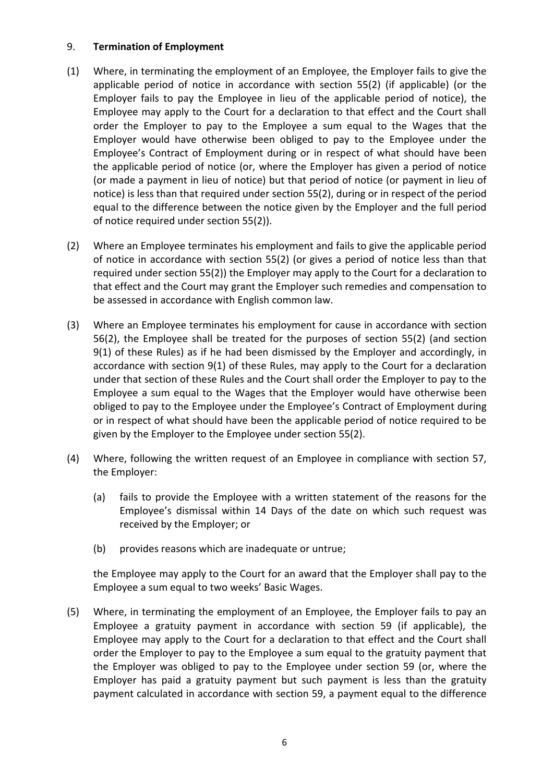## 9. **Termination of Employment**

- (1) Where, in terminating the employment of an Employee, the Employer fails to give the applicable period of notice in accordance with section 55(2) (if applicable) (or the Employer fails to pay the Employee in lieu of the applicable period of notice), the Employee may apply to the Court for a declaration to that effect and the Court shall order the Employer to pay to the Employee a sum equal to the Wages that the Employer would have otherwise been obliged to pay to the Employee under the Employee's Contract of Employment during or in respect of what should have been the applicable period of notice (or, where the Employer has given a period of notice (or made a payment in lieu of notice) but that period of notice (or payment in lieu of notice) is less than that required under section 55(2), during or in respect of the period equal to the difference between the notice given by the Employer and the full period of notice required under section 55(2)).
- (2) Where an Employee terminates his employment and fails to give the applicable period of notice in accordance with section 55(2) (or gives a period of notice less than that required under section 55(2)) the Employer may apply to the Court for a declaration to that effect and the Court may grant the Employer such remedies and compensation to be assessed in accordance with English common law.
- (3) Where an Employee terminates his employment for cause in accordance with section 56(2), the Employee shall be treated for the purposes of section 55(2) (and section 9(1) of these Rules) as if he had been dismissed by the Employer and accordingly, in accordance with section 9(1) of these Rules, may apply to the Court for a declaration under that section of these Rules and the Court shall order the Employer to pay to the Employee a sum equal to the Wages that the Employer would have otherwise been obliged to pay to the Employee under the Employee's Contract of Employment during or in respect of what should have been the applicable period of notice required to be given by the Employer to the Employee under section 55(2).
- (4) Where, following the written request of an Employee in compliance with section 57, the Employer:
	- (a) fails to provide the Employee with a written statement of the reasons for the Employee's dismissal within 14 Days of the date on which such request was received by the Employer; or
	- (b) provides reasons which are inadequate or untrue;

the Employee may apply to the Court for an award that the Employer shall pay to the Employee a sum equal to two weeks' Basic Wages.

(5) Where, in terminating the employment of an Employee, the Employer fails to pay an Employee a gratuity payment in accordance with section 59 (if applicable), the Employee may apply to the Court for a declaration to that effect and the Court shall order the Employer to pay to the Employee a sum equal to the gratuity payment that the Employer was obliged to pay to the Employee under section 59 (or, where the Employer has paid a gratuity payment but such payment is less than the gratuity payment calculated in accordance with section 59, a payment equal to the difference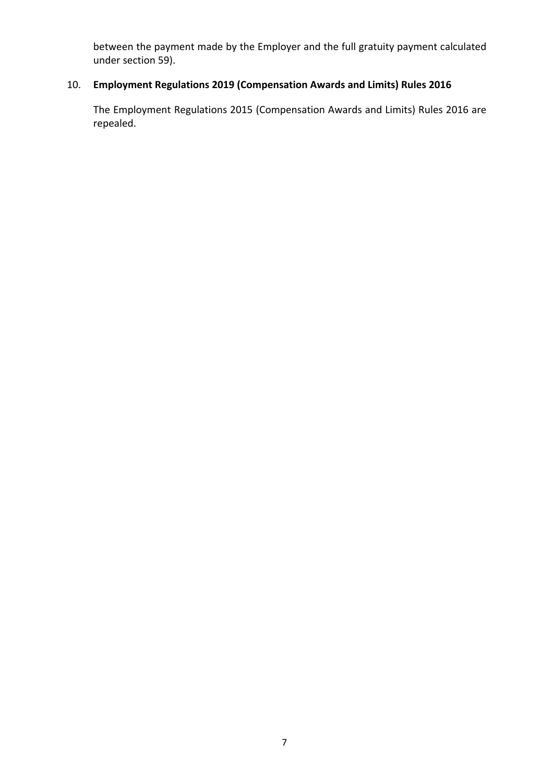between the payment made by the Employer and the full gratuity payment calculated under section 59).

# 10. **Employment Regulations 2019 (Compensation Awards and Limits) Rules 2016**

The Employment Regulations 2015 (Compensation Awards and Limits) Rules 2016 are repealed.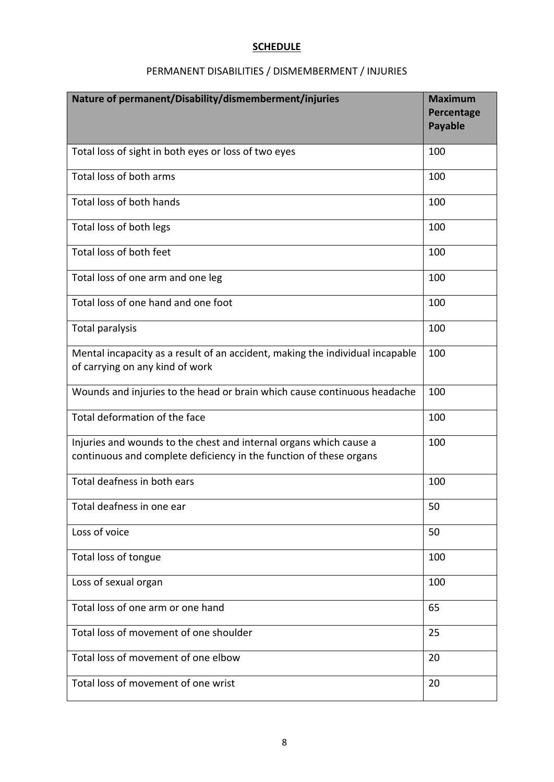## **SCHEDULE**

# PERMANENT DISABILITIES / DISMEMBERMENT / INJURIES

| Nature of permanent/Disability/dismemberment/injuries                                                                                    | <b>Maximum</b><br>Percentage<br><b>Payable</b> |
|------------------------------------------------------------------------------------------------------------------------------------------|------------------------------------------------|
| Total loss of sight in both eyes or loss of two eyes                                                                                     | 100                                            |
| Total loss of both arms                                                                                                                  | 100                                            |
| Total loss of both hands                                                                                                                 | 100                                            |
| Total loss of both legs                                                                                                                  | 100                                            |
| Total loss of both feet                                                                                                                  | 100                                            |
| Total loss of one arm and one leg                                                                                                        | 100                                            |
| Total loss of one hand and one foot                                                                                                      | 100                                            |
| Total paralysis                                                                                                                          | 100                                            |
| Mental incapacity as a result of an accident, making the individual incapable<br>of carrying on any kind of work                         | 100                                            |
| Wounds and injuries to the head or brain which cause continuous headache                                                                 | 100                                            |
| Total deformation of the face                                                                                                            | 100                                            |
| Injuries and wounds to the chest and internal organs which cause a<br>continuous and complete deficiency in the function of these organs | 100                                            |
| Total deafness in both ears                                                                                                              | 100                                            |
| Total deafness in one ear                                                                                                                | 50                                             |
| Loss of voice                                                                                                                            | 50                                             |
| Total loss of tongue                                                                                                                     | 100                                            |
| Loss of sexual organ                                                                                                                     | 100                                            |
| Total loss of one arm or one hand                                                                                                        | 65                                             |
| Total loss of movement of one shoulder                                                                                                   | 25                                             |
| Total loss of movement of one elbow                                                                                                      | 20                                             |
| Total loss of movement of one wrist                                                                                                      | 20                                             |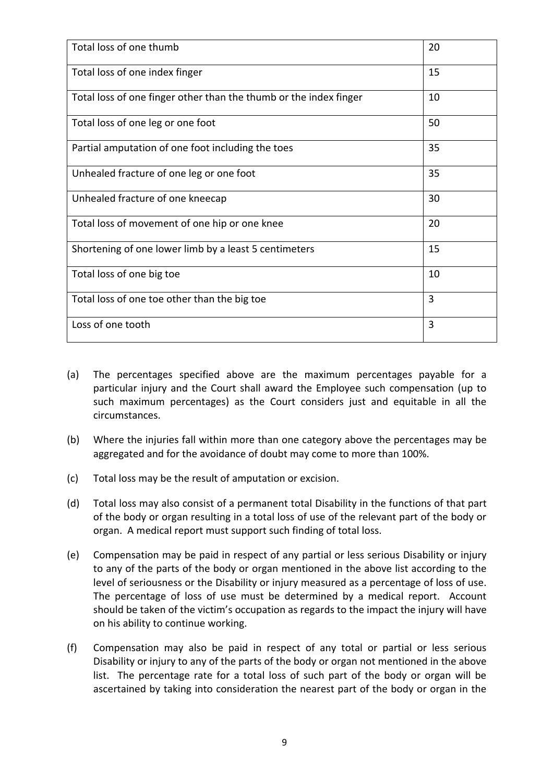| Total loss of one thumb                                           | 20 |
|-------------------------------------------------------------------|----|
| Total loss of one index finger                                    | 15 |
| Total loss of one finger other than the thumb or the index finger | 10 |
| Total loss of one leg or one foot                                 | 50 |
| Partial amputation of one foot including the toes                 | 35 |
| Unhealed fracture of one leg or one foot                          | 35 |
| Unhealed fracture of one kneecap                                  | 30 |
| Total loss of movement of one hip or one knee                     | 20 |
| Shortening of one lower limb by a least 5 centimeters             | 15 |
| Total loss of one big toe                                         | 10 |
| Total loss of one toe other than the big toe                      | 3  |
| Loss of one tooth                                                 | 3  |

- (a) The percentages specified above are the maximum percentages payable for a particular injury and the Court shall award the Employee such compensation (up to such maximum percentages) as the Court considers just and equitable in all the circumstances.
- (b) Where the injuries fall within more than one category above the percentages may be aggregated and for the avoidance of doubt may come to more than 100%.
- (c) Total loss may be the result of amputation or excision.
- (d) Total loss may also consist of a permanent total Disability in the functions of that part of the body or organ resulting in a total loss of use of the relevant part of the body or organ. A medical report must support such finding of total loss.
- (e) Compensation may be paid in respect of any partial or less serious Disability or injury to any of the parts of the body or organ mentioned in the above list according to the level of seriousness or the Disability or injury measured as a percentage of loss of use. The percentage of loss of use must be determined by a medical report. Account should be taken of the victim's occupation as regards to the impact the injury will have on his ability to continue working.
- (f) Compensation may also be paid in respect of any total or partial or less serious Disability or injury to any of the parts of the body or organ not mentioned in the above list. The percentage rate for a total loss of such part of the body or organ will be ascertained by taking into consideration the nearest part of the body or organ in the